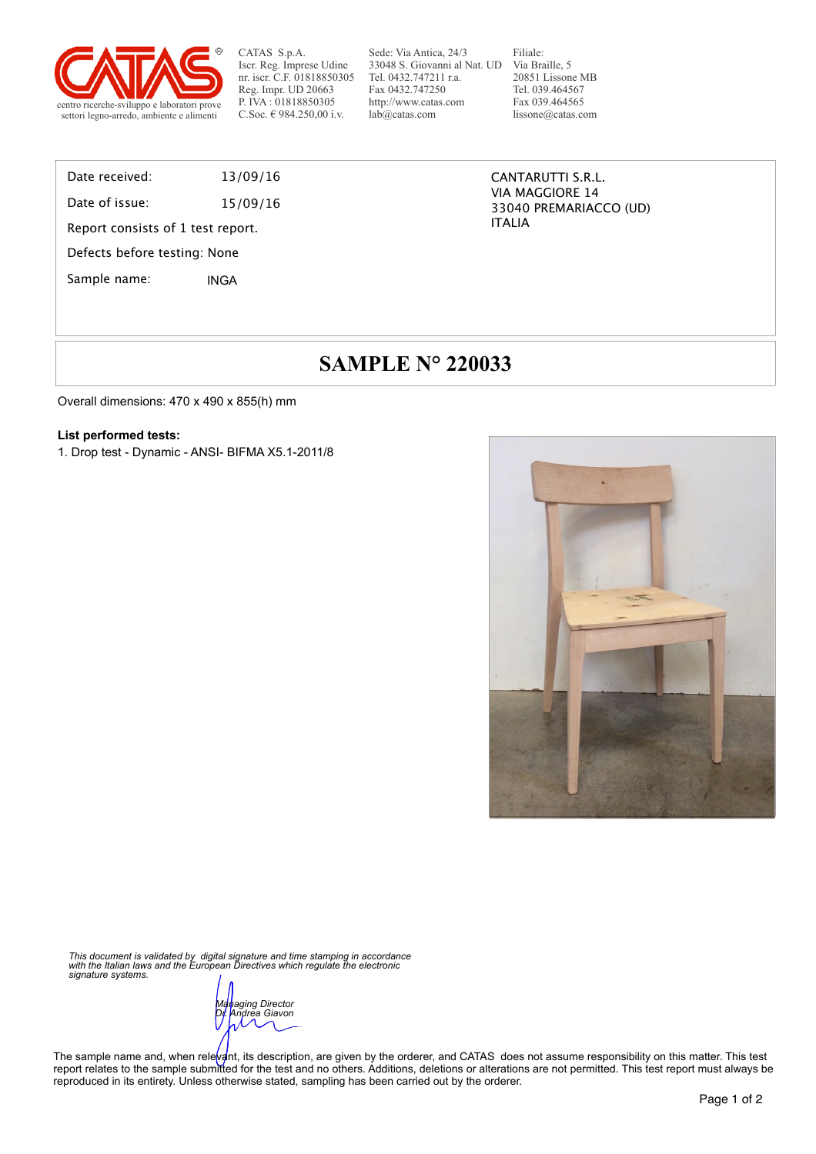

CATAS S.p.A. Iscr. Reg. Imprese Udine nr. iscr. C.F. 01818850305 Reg. Impr. UD 20663 P. IVA : 01818850305

Sede: Via Antica, 24/3 33048 S. Giovanni al Nat. UD Via Braille, 5 Tel. 0432.747211 r.a. Fax 0432.747250 http://www.catas.com lab@catas.com

Filiale: 20851 Lissone MB Tel. 039.464567 Fax 039.464565 lissone@catas.com

### Date received: 13/09/16

Date of issue: 15/09/16

Report consists of 1 test report.

Defects before testing: None

Sample name: INGA

CANTARUTTI S.R.L. VIA MAGGIORE 14 33040 PREMARIACCO (UD) ITALIA

# **SAMPLE N° 220033**

Overall dimensions: 470 x 490 x 855(h) mm

#### **List performed tests:**

1. Drop test - Dynamic - ANSI- BIFMA X5.1-2011/8



*This document is validated by digital signature and time stamping in accordance with the Italian laws and the European Directives which regulate the electronic signature systems.* 

*Managing Director Dr. Andrea Giavon* 

The sample name and, when relevant, its description, are given by the orderer, and CATAS does not assume responsibility on this matter. This test report relates to the sample submitted for the test and no others. Additions, deletions or alterations are not permitted. This test report must always be reproduced in its entirety. Unless otherwise stated, sampling has been carried out by the orderer.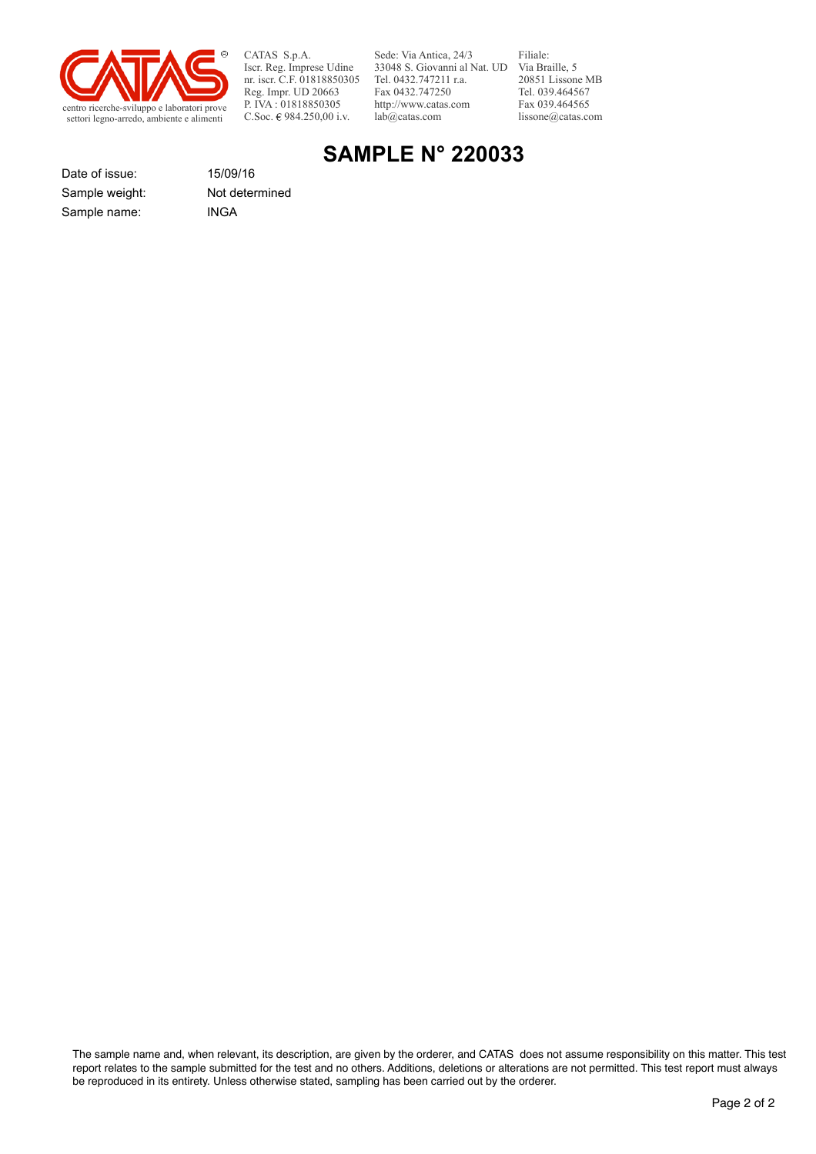

CATAS S.p.A. Iscr. Reg. Imprese Udine nr. iscr. C.F. 01818850305 Reg. Impr. UD 20663 P. IVA : 01818850305<br>C.Soc. € 984.250,00 i.v.

Sede: Via Antica, 24/3 33048 S. Giovanni al Nat. UD Via Braille, 5 Tel. 0432.747211 r.a. Fax 0432.747250 http://www.catas.com lab@catas.com

Filiale: 20851 Lissone MB Tel. 039.464567 Fax 039.464565 lissone@catas.com

## **SAMPLE N° 220033**

Date of issue: 15/09/16 Sample name: INGA Sample weight: Not determined

The sample name and, when relevant, its description, are given by the orderer, and CATAS does not assume responsibility on this matter. This test report relates to the sample submitted for the test and no others. Additions, deletions or alterations are not permitted. This test report must always be reproduced in its entirety. Unless otherwise stated, sampling has been carried out by the orderer.